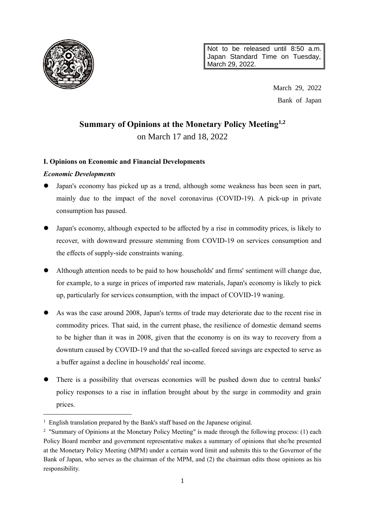

Not to be released until 8:50 a.m. Japan Standard Time on Tuesday, March 29, 2022.

> March 29, 2022 Bank of Japan

# **Summary of Opinions at the Monetary Policy Meeting1,2**

on March 17 and 18, 2022

# **I. Opinions on Economic and Financial Developments**

# *Economic Developments*

 $\overline{a}$ 

- Japan's economy has picked up as a trend, although some weakness has been seen in part, mainly due to the impact of the novel coronavirus (COVID-19). A pick-up in private consumption has paused.
- Japan's economy, although expected to be affected by a rise in commodity prices, is likely to recover, with downward pressure stemming from COVID-19 on services consumption and the effects of supply-side constraints waning.
- Although attention needs to be paid to how households' and firms' sentiment will change due, for example, to a surge in prices of imported raw materials, Japan's economy is likely to pick up, particularly for services consumption, with the impact of COVID-19 waning.
- As was the case around 2008, Japan's terms of trade may deteriorate due to the recent rise in commodity prices. That said, in the current phase, the resilience of domestic demand seems to be higher than it was in 2008, given that the economy is on its way to recovery from a downturn caused by COVID-19 and that the so-called forced savings are expected to serve as a buffer against a decline in households' real income.
- There is a possibility that overseas economies will be pushed down due to central banks' policy responses to a rise in inflation brought about by the surge in commodity and grain prices.

<sup>&</sup>lt;sup>1</sup> English translation prepared by the Bank's staff based on the Japanese original.

<sup>&</sup>lt;sup>2</sup> "Summary of Opinions at the Monetary Policy Meeting" is made through the following process: (1) each Policy Board member and government representative makes a summary of opinions that she/he presented at the Monetary Policy Meeting (MPM) under a certain word limit and submits this to the Governor of the Bank of Japan, who serves as the chairman of the MPM, and (2) the chairman edits those opinions as his responsibility.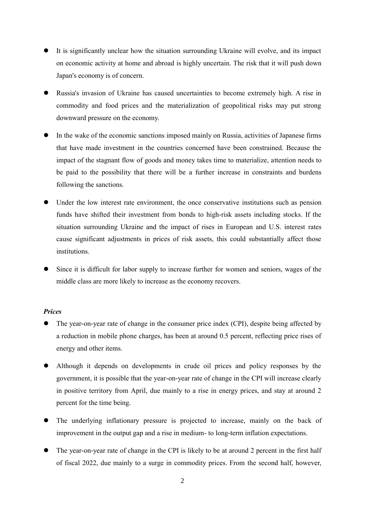- It is significantly unclear how the situation surrounding Ukraine will evolve, and its impact on economic activity at home and abroad is highly uncertain. The risk that it will push down Japan's economy is of concern.
- Russia's invasion of Ukraine has caused uncertainties to become extremely high. A rise in commodity and food prices and the materialization of geopolitical risks may put strong downward pressure on the economy.
- In the wake of the economic sanctions imposed mainly on Russia, activities of Japanese firms that have made investment in the countries concerned have been constrained. Because the impact of the stagnant flow of goods and money takes time to materialize, attention needs to be paid to the possibility that there will be a further increase in constraints and burdens following the sanctions.
- Under the low interest rate environment, the once conservative institutions such as pension funds have shifted their investment from bonds to high-risk assets including stocks. If the situation surrounding Ukraine and the impact of rises in European and U.S. interest rates cause significant adjustments in prices of risk assets, this could substantially affect those institutions.
- Since it is difficult for labor supply to increase further for women and seniors, wages of the middle class are more likely to increase as the economy recovers.

#### *Prices*

- The year-on-year rate of change in the consumer price index (CPI), despite being affected by a reduction in mobile phone charges, has been at around 0.5 percent, reflecting price rises of energy and other items.
- Although it depends on developments in crude oil prices and policy responses by the government, it is possible that the year-on-year rate of change in the CPI will increase clearly in positive territory from April, due mainly to a rise in energy prices, and stay at around 2 percent for the time being.
- The underlying inflationary pressure is projected to increase, mainly on the back of improvement in the output gap and a rise in medium- to long-term inflation expectations.
- The year-on-year rate of change in the CPI is likely to be at around 2 percent in the first half of fiscal 2022, due mainly to a surge in commodity prices. From the second half, however,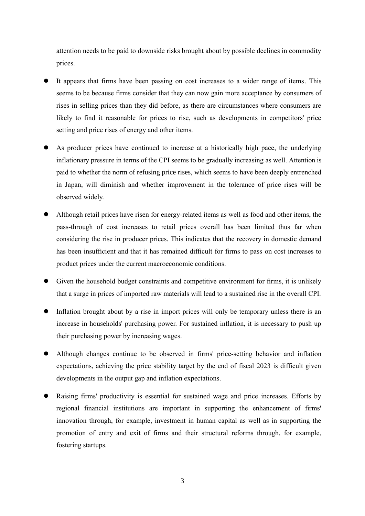attention needs to be paid to downside risks brought about by possible declines in commodity prices.

- It appears that firms have been passing on cost increases to a wider range of items. This seems to be because firms consider that they can now gain more acceptance by consumers of rises in selling prices than they did before, as there are circumstances where consumers are likely to find it reasonable for prices to rise, such as developments in competitors' price setting and price rises of energy and other items.
- As producer prices have continued to increase at a historically high pace, the underlying inflationary pressure in terms of the CPI seems to be gradually increasing as well. Attention is paid to whether the norm of refusing price rises, which seems to have been deeply entrenched in Japan, will diminish and whether improvement in the tolerance of price rises will be observed widely.
- Although retail prices have risen for energy-related items as well as food and other items, the pass-through of cost increases to retail prices overall has been limited thus far when considering the rise in producer prices. This indicates that the recovery in domestic demand has been insufficient and that it has remained difficult for firms to pass on cost increases to product prices under the current macroeconomic conditions.
- Given the household budget constraints and competitive environment for firms, it is unlikely that a surge in prices of imported raw materials will lead to a sustained rise in the overall CPI.
- Inflation brought about by a rise in import prices will only be temporary unless there is an increase in households' purchasing power. For sustained inflation, it is necessary to push up their purchasing power by increasing wages.
- Although changes continue to be observed in firms' price-setting behavior and inflation expectations, achieving the price stability target by the end of fiscal 2023 is difficult given developments in the output gap and inflation expectations.
- Raising firms' productivity is essential for sustained wage and price increases. Efforts by regional financial institutions are important in supporting the enhancement of firms' innovation through, for example, investment in human capital as well as in supporting the promotion of entry and exit of firms and their structural reforms through, for example, fostering startups.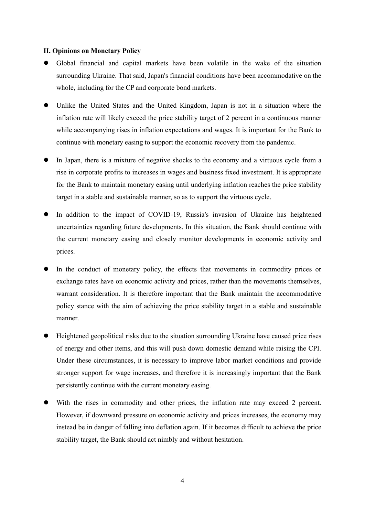#### **II. Opinions on Monetary Policy**

- Global financial and capital markets have been volatile in the wake of the situation surrounding Ukraine. That said, Japan's financial conditions have been accommodative on the whole, including for the CP and corporate bond markets.
- Unlike the United States and the United Kingdom, Japan is not in a situation where the inflation rate will likely exceed the price stability target of 2 percent in a continuous manner while accompanying rises in inflation expectations and wages. It is important for the Bank to continue with monetary easing to support the economic recovery from the pandemic.
- In Japan, there is a mixture of negative shocks to the economy and a virtuous cycle from a rise in corporate profits to increases in wages and business fixed investment. It is appropriate for the Bank to maintain monetary easing until underlying inflation reaches the price stability target in a stable and sustainable manner, so as to support the virtuous cycle.
- In addition to the impact of COVID-19, Russia's invasion of Ukraine has heightened uncertainties regarding future developments. In this situation, the Bank should continue with the current monetary easing and closely monitor developments in economic activity and prices.
- In the conduct of monetary policy, the effects that movements in commodity prices or exchange rates have on economic activity and prices, rather than the movements themselves, warrant consideration. It is therefore important that the Bank maintain the accommodative policy stance with the aim of achieving the price stability target in a stable and sustainable manner.
- Heightened geopolitical risks due to the situation surrounding Ukraine have caused price rises of energy and other items, and this will push down domestic demand while raising the CPI. Under these circumstances, it is necessary to improve labor market conditions and provide stronger support for wage increases, and therefore it is increasingly important that the Bank persistently continue with the current monetary easing.
- With the rises in commodity and other prices, the inflation rate may exceed 2 percent. However, if downward pressure on economic activity and prices increases, the economy may instead be in danger of falling into deflation again. If it becomes difficult to achieve the price stability target, the Bank should act nimbly and without hesitation.